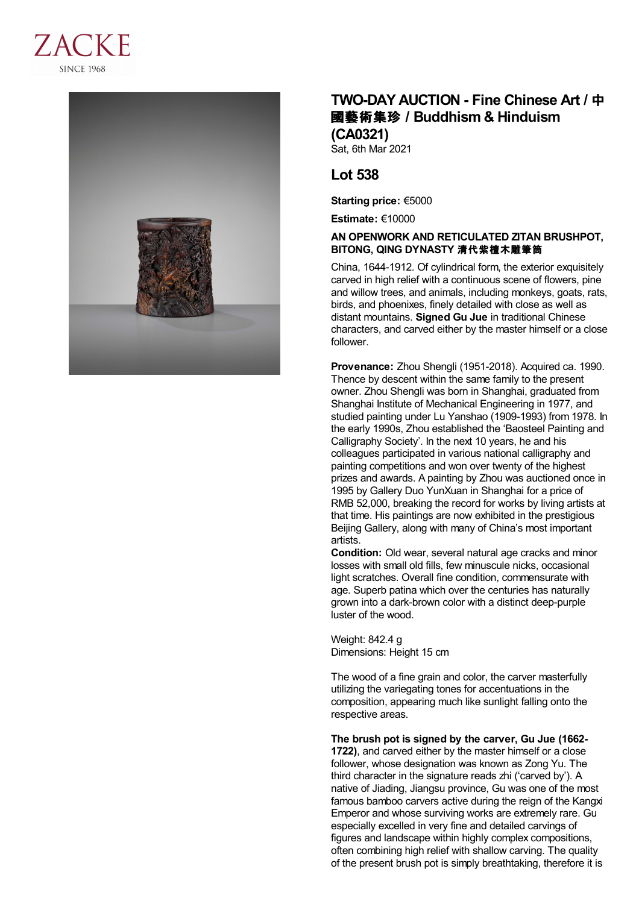



## **TWO-DAY AUCTION - Fine Chinese Art /** 中 國藝術集珍 **/Buddhism & Hinduism (CA0321)**

Sat, 6th Mar 2021

## **Lot 538**

**Starting price:** €5000

**Estimate:** €10000

## **AN OPENWORK AND RETICULATED ZITAN BRUSHPOT, BITONG, QING DYNASTY** 清代紫檀木雕筆筒

China, 1644-1912. Of cylindrical form, the exterior exquisitely carved in high relief with a continuous scene of flowers, pine and willow trees, and animals, including monkeys, goats, rats, birds, and phoenixes, finely detailed with close as well as distant mountains. **Signed Gu Jue** in traditional Chinese characters, and carved either by the master himself or a close follower.

**Provenance:** Zhou Shengli (1951-2018). Acquired ca. 1990. Thence by descent within the same family to the present owner. Zhou Shengli was born in Shanghai, graduated from Shanghai Institute of Mechanical Engineering in 1977, and studied painting under Lu Yanshao (1909-1993) from 1978. In the early 1990s, Zhou established the 'Baosteel Painting and Calligraphy Society'. In the next 10 years, he and his colleagues participated in various national calligraphy and painting competitions and won over twenty of the highest prizes and awards. A painting by Zhou was auctioned once in 1995 by Gallery Duo YunXuan in Shanghai for a price of RMB 52,000, breaking the record for works by living artists at that time. His paintings are now exhibited in the prestigious Beijing Gallery, along with many of China's most important artists.

**Condition:** Old wear, several natural age cracks and minor losses with small old fills, few minuscule nicks, occasional light scratches. Overall fine condition, commensurate with age. Superb patina which over the centuries has naturally grown into a dark-brown color with a distinct deep-purple luster of the wood.

Weight: 842.4 g Dimensions: Height 15 cm

The wood of a fine grain and color, the carver masterfully utilizing the variegating tones for accentuations in the composition, appearing much like sunlight falling onto the respective areas.

**The brush pot is signed by the carver, Gu Jue (1662- 1722)**, and carved either by the master himself or a close follower, whose designation was known as Zong Yu. The third character in the signature reads zhi ('carved by'). A native of Jiading, Jiangsu province, Gu was one of the most famous bamboo carvers active during the reign of the Kangxi Emperor and whose surviving works are extremely rare. Gu especially excelled in very fine and detailed carvings of figures and landscape within highly complex compositions, often combining high relief with shallow carving. The quality of the present brush pot is simply breathtaking, therefore it is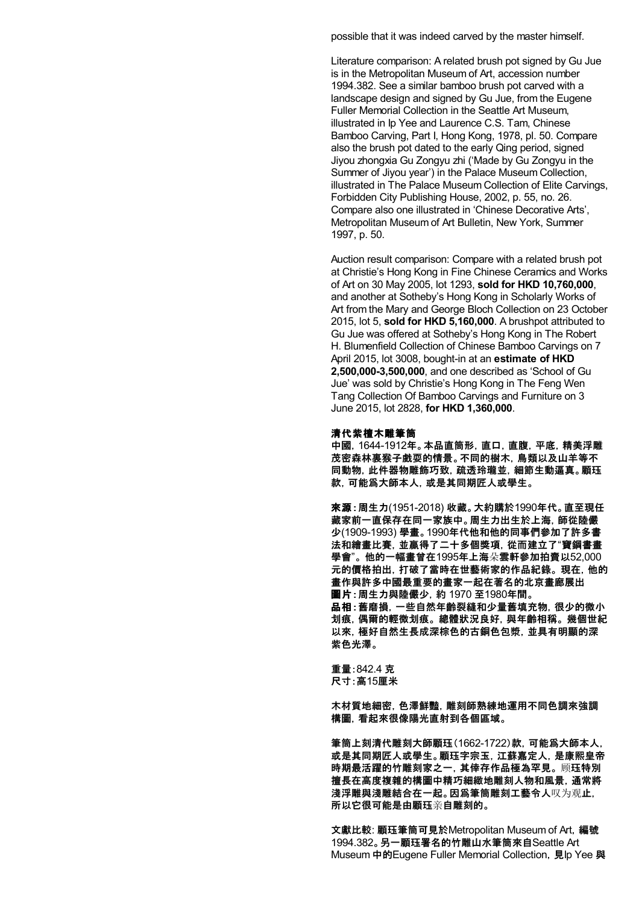possible that it was indeed carved by the master himself.

Literature comparison: A related brush pot signed by Gu Jue is in the Metropolitan Museum of Art, accession number 1994.382. See a similar bamboo brush pot carved with a landscape design and signed by Gu Jue, from the Eugene Fuller Memorial Collection in the Seattle Art Museum, illustrated in Ip Yee and Laurence C.S. Tam, Chinese Bamboo Carving, Part I, Hong Kong, 1978, pl. 50. Compare also the brush pot dated to the early Qing period, signed Jiyou zhongxia Gu Zongyu zhi ('Made by Gu Zongyu in the Summer of Jiyou year') in the Palace Museum Collection, illustrated in The Palace Museum Collection of Elite Carvings, Forbidden City Publishing House, 2002, p. 55, no. 26. Compare also one illustrated in 'Chinese Decorative Arts', Metropolitan Museum of Art Bulletin, New York, Summer 1997, p. 50.

Auction result comparison: Compare with a related brush pot at Christie's Hong Kong in Fine Chinese Ceramics and Works of Art on 30 May 2005, lot 1293, **sold for HKD 10,760,000**, and another at Sotheby's Hong Kong in Scholarly Works of Art from the Mary and George Bloch Collection on 23 October 2015, lot 5, **sold for HKD 5,160,000**. A brushpot attributed to Gu Jue was offered at Sotheby's Hong Kong in The Robert H. Blumenfield Collection of Chinese Bamboo Carvings on 7 April 2015, lot 3008, bought-in at an **estimate of HKD 2,500,000-3,500,000**, and one described as 'School of Gu Jue' was sold by Christie's Hong Kong in The Feng Wen Tang Collection Of Bamboo Carvings and Furniture on 3 June 2015, lot 2828, **for HKD 1,360,000**.

## 清代紫檀木雕筆筒

中國,1644-1912年。本品直筒形,直口,直腹,平底,精美浮雕 茂密森林裏猴子戲耍的情景。不同的樹木,鳥類以及山羊等不 同動物,此件器物雕飾巧致,疏透玲瓏並,細節生動逼真。顧珏 款,可能爲大師本人,或是其同期匠人或學生。

來源:周生力(1951-2018) 收藏。大約購於1990年代。直至現任 藏家前一直保存在同一家族中。周生力出生於上海,師從陸儼 少(1909-1993) 學畫。1990年代他和他的同事們參加了許多書 法和繪畫比賽,並贏得了二十多個獎項,從而建立了"寶鋼書畫 學會"。 他的一幅畫曾在1995年上海朵雲軒參加拍賣以52,000 元的價格拍出,打破了當時在世藝術家的作品紀錄。 現在,他的 畫作與許多中國最重要的畫家一起在著名的北京畫廊展出 圖片:周生力與陸儼少,約 1970 至1980年間。 品相:舊磨損,一些自然年齡裂縫和少量舊填充物,很少的微小 划痕,偶爾的輕微划痕。 總體狀況良好,與年齡相稱。 幾個世紀

以來,極好自然生長成深棕色的古銅色包漿,並具有明顯的深 紫色光澤。

重量:842.4 克 尺寸:高15厘米

木材質地細密,色澤鮮豔,雕刻師熟練地運用不同色調來強調 構圖,看起來很像陽光直射到各個區域。

筆筒上刻清代雕刻大師顧珏(1662-1722)款,可能爲大師本人, 或是其同期匠人或學生。顧珏字宗玉,江蘇嘉定人,是康熙皇帝 時期最活躍的竹雕刻家之一,其倖存作品極為罕見。 顾珏特別 擅長在高度複雜的構圖中精巧細緻地雕刻人物和風景,通常將 淺浮雕與淺雕結合在一起。因爲筆筒雕刻工藝令人叹为观止, 所以它很可能是由顧珏亲自雕刻的。

文獻比較: 顧珏筆筒可見於Metropolitan Museum of Art,編號 1994.382。另一顧珏署名的竹雕山水筆筒來自Seattle Art Museum 中的Eugene Fuller Memorial Collection, 見Ip Yee 與